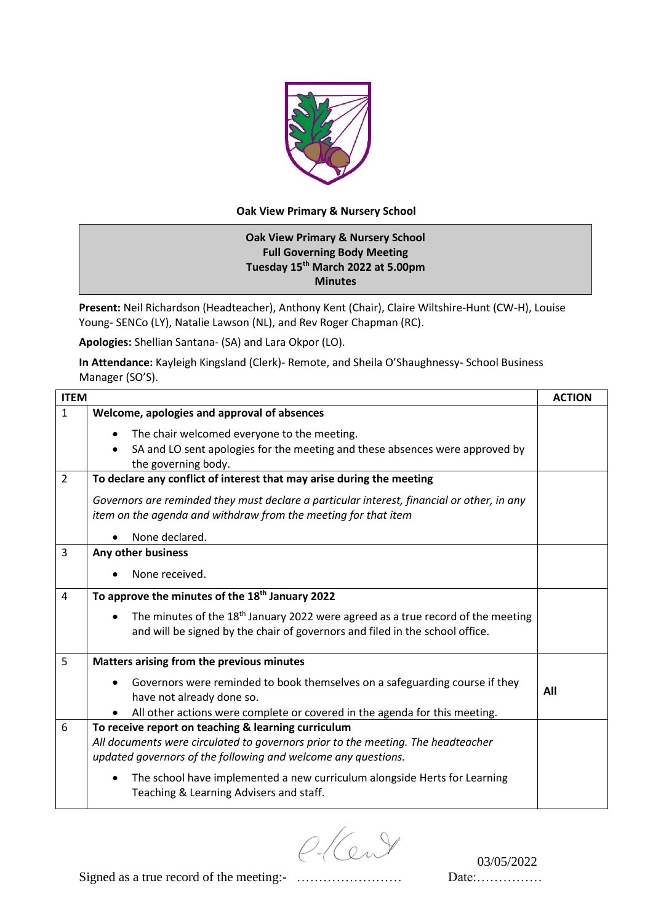

## **Oak View Primary & Nursery School**

## **Oak View Primary & Nursery School Full Governing Body Meeting Tuesday 15th March 2022 at 5.00pm Minutes**

**Present:** Neil Richardson (Headteacher), Anthony Kent (Chair), Claire Wiltshire-Hunt (CW-H), Louise Young- SENCo (LY), Natalie Lawson (NL), and Rev Roger Chapman (RC).

**Apologies:** Shellian Santana- (SA) and Lara Okpor (LO).

**In Attendance:** Kayleigh Kingsland (Clerk)- Remote, and Sheila O'Shaughnessy- School Business Manager (SO'S).

| <b>ITEM</b>                                                                                  | <b>ACTION</b>                                                                                                                                                                                                              |
|----------------------------------------------------------------------------------------------|----------------------------------------------------------------------------------------------------------------------------------------------------------------------------------------------------------------------------|
| Welcome, apologies and approval of absences                                                  |                                                                                                                                                                                                                            |
| The chair welcomed everyone to the meeting.                                                  |                                                                                                                                                                                                                            |
| SA and LO sent apologies for the meeting and these absences were approved by<br>$\bullet$    |                                                                                                                                                                                                                            |
| the governing body.                                                                          |                                                                                                                                                                                                                            |
|                                                                                              |                                                                                                                                                                                                                            |
| Governors are reminded they must declare a particular interest, financial or other, in any   |                                                                                                                                                                                                                            |
| item on the agenda and withdraw from the meeting for that item                               |                                                                                                                                                                                                                            |
| None declared.                                                                               |                                                                                                                                                                                                                            |
| Any other business                                                                           |                                                                                                                                                                                                                            |
| None received.                                                                               |                                                                                                                                                                                                                            |
| To approve the minutes of the 18 <sup>th</sup> January 2022                                  |                                                                                                                                                                                                                            |
| The minutes of the 18 <sup>th</sup> January 2022 were agreed as a true record of the meeting |                                                                                                                                                                                                                            |
| and will be signed by the chair of governors and filed in the school office.                 |                                                                                                                                                                                                                            |
| Matters arising from the previous minutes                                                    |                                                                                                                                                                                                                            |
| Governors were reminded to book themselves on a safeguarding course if they                  |                                                                                                                                                                                                                            |
| have not already done so.                                                                    | All                                                                                                                                                                                                                        |
| All other actions were complete or covered in the agenda for this meeting.                   |                                                                                                                                                                                                                            |
| To receive report on teaching & learning curriculum                                          |                                                                                                                                                                                                                            |
|                                                                                              |                                                                                                                                                                                                                            |
|                                                                                              |                                                                                                                                                                                                                            |
| The school have implemented a new curriculum alongside Herts for Learning                    |                                                                                                                                                                                                                            |
| Teaching & Learning Advisers and staff.                                                      |                                                                                                                                                                                                                            |
|                                                                                              | To declare any conflict of interest that may arise during the meeting<br>All documents were circulated to governors prior to the meeting. The headteacher<br>updated governors of the following and welcome any questions. |

 $C$   $(2\sqrt{9})$  03/05/2022

Signed as a true record of the meeting:- …………………… Date:……………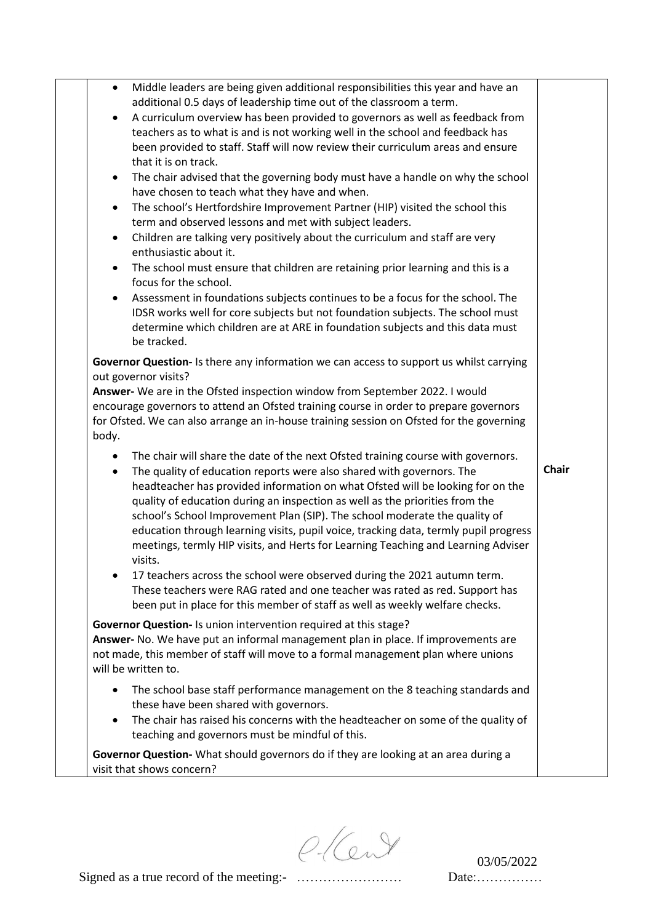| Middle leaders are being given additional responsibilities this year and have an<br>$\bullet$<br>additional 0.5 days of leadership time out of the classroom a term.<br>A curriculum overview has been provided to governors as well as feedback from<br>$\bullet$<br>teachers as to what is and is not working well in the school and feedback has<br>been provided to staff. Staff will now review their curriculum areas and ensure<br>that it is on track.<br>The chair advised that the governing body must have a handle on why the school<br>$\bullet$<br>have chosen to teach what they have and when.<br>The school's Hertfordshire Improvement Partner (HIP) visited the school this<br>$\bullet$<br>term and observed lessons and met with subject leaders.<br>Children are talking very positively about the curriculum and staff are very<br>$\bullet$<br>enthusiastic about it.<br>The school must ensure that children are retaining prior learning and this is a<br>$\bullet$<br>focus for the school.<br>Assessment in foundations subjects continues to be a focus for the school. The<br>$\bullet$<br>IDSR works well for core subjects but not foundation subjects. The school must<br>determine which children are at ARE in foundation subjects and this data must<br>be tracked. |              |
|---------------------------------------------------------------------------------------------------------------------------------------------------------------------------------------------------------------------------------------------------------------------------------------------------------------------------------------------------------------------------------------------------------------------------------------------------------------------------------------------------------------------------------------------------------------------------------------------------------------------------------------------------------------------------------------------------------------------------------------------------------------------------------------------------------------------------------------------------------------------------------------------------------------------------------------------------------------------------------------------------------------------------------------------------------------------------------------------------------------------------------------------------------------------------------------------------------------------------------------------------------------------------------------------------------|--------------|
| Governor Question- Is there any information we can access to support us whilst carrying<br>out governor visits?<br>Answer- We are in the Ofsted inspection window from September 2022. I would<br>encourage governors to attend an Ofsted training course in order to prepare governors<br>for Ofsted. We can also arrange an in-house training session on Ofsted for the governing<br>body.                                                                                                                                                                                                                                                                                                                                                                                                                                                                                                                                                                                                                                                                                                                                                                                                                                                                                                            |              |
| The chair will share the date of the next Ofsted training course with governors.<br>٠<br>The quality of education reports were also shared with governors. The<br>$\bullet$<br>headteacher has provided information on what Ofsted will be looking for on the<br>quality of education during an inspection as well as the priorities from the<br>school's School Improvement Plan (SIP). The school moderate the quality of<br>education through learning visits, pupil voice, tracking data, termly pupil progress<br>meetings, termly HIP visits, and Herts for Learning Teaching and Learning Adviser<br>visits.<br>17 teachers across the school were observed during the 2021 autumn term.<br>٠<br>These teachers were RAG rated and one teacher was rated as red. Support has<br>been put in place for this member of staff as well as weekly welfare checks.                                                                                                                                                                                                                                                                                                                                                                                                                                     | <b>Chair</b> |
| Governor Question- Is union intervention required at this stage?<br>Answer- No. We have put an informal management plan in place. If improvements are<br>not made, this member of staff will move to a formal management plan where unions<br>will be written to.                                                                                                                                                                                                                                                                                                                                                                                                                                                                                                                                                                                                                                                                                                                                                                                                                                                                                                                                                                                                                                       |              |
| The school base staff performance management on the 8 teaching standards and<br>$\bullet$<br>these have been shared with governors.<br>The chair has raised his concerns with the headteacher on some of the quality of<br>$\bullet$<br>teaching and governors must be mindful of this.                                                                                                                                                                                                                                                                                                                                                                                                                                                                                                                                                                                                                                                                                                                                                                                                                                                                                                                                                                                                                 |              |
| Governor Question- What should governors do if they are looking at an area during a<br>visit that shows concern?                                                                                                                                                                                                                                                                                                                                                                                                                                                                                                                                                                                                                                                                                                                                                                                                                                                                                                                                                                                                                                                                                                                                                                                        |              |

 $O(C<sub>uv</sub>)$  03/05/2022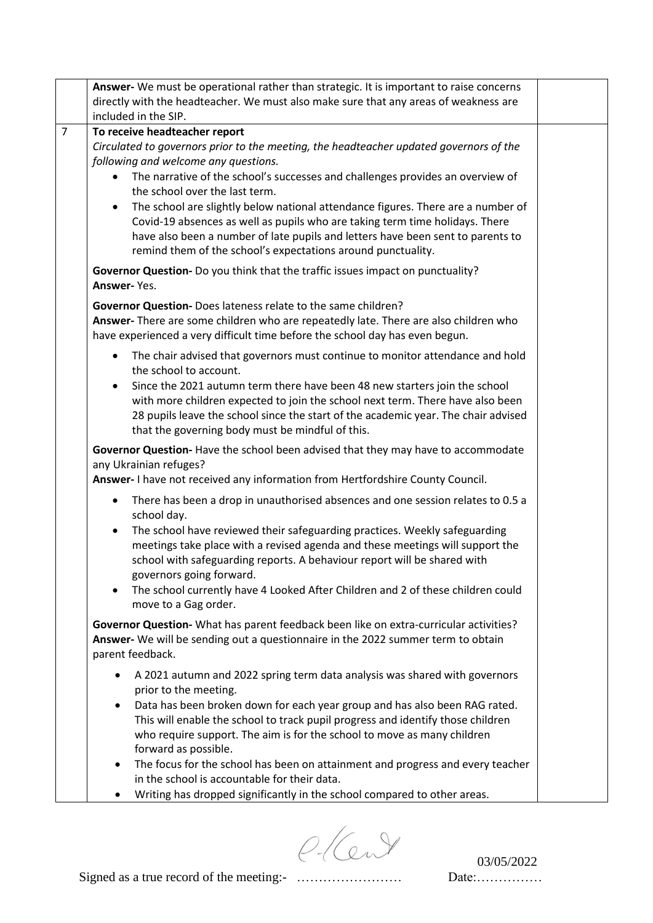|                | Answer- We must be operational rather than strategic. It is important to raise concerns                                                                                                                                                                                                                                                                                                                                                                                                                                                                                                            |
|----------------|----------------------------------------------------------------------------------------------------------------------------------------------------------------------------------------------------------------------------------------------------------------------------------------------------------------------------------------------------------------------------------------------------------------------------------------------------------------------------------------------------------------------------------------------------------------------------------------------------|
|                | directly with the headteacher. We must also make sure that any areas of weakness are                                                                                                                                                                                                                                                                                                                                                                                                                                                                                                               |
|                | included in the SIP.                                                                                                                                                                                                                                                                                                                                                                                                                                                                                                                                                                               |
| $\overline{7}$ | To receive headteacher report<br>Circulated to governors prior to the meeting, the headteacher updated governors of the<br>following and welcome any questions.<br>The narrative of the school's successes and challenges provides an overview of<br>the school over the last term.<br>The school are slightly below national attendance figures. There are a number of<br>$\bullet$<br>Covid-19 absences as well as pupils who are taking term time holidays. There<br>have also been a number of late pupils and letters have been sent to parents to                                            |
|                | remind them of the school's expectations around punctuality.<br>Governor Question- Do you think that the traffic issues impact on punctuality?<br>Answer-Yes.                                                                                                                                                                                                                                                                                                                                                                                                                                      |
|                | Governor Question- Does lateness relate to the same children?<br>Answer- There are some children who are repeatedly late. There are also children who<br>have experienced a very difficult time before the school day has even begun.                                                                                                                                                                                                                                                                                                                                                              |
|                | The chair advised that governors must continue to monitor attendance and hold<br>$\bullet$<br>the school to account.<br>Since the 2021 autumn term there have been 48 new starters join the school<br>$\bullet$<br>with more children expected to join the school next term. There have also been<br>28 pupils leave the school since the start of the academic year. The chair advised<br>that the governing body must be mindful of this.                                                                                                                                                        |
|                | Governor Question- Have the school been advised that they may have to accommodate<br>any Ukrainian refuges?<br>Answer-I have not received any information from Hertfordshire County Council.                                                                                                                                                                                                                                                                                                                                                                                                       |
|                | There has been a drop in unauthorised absences and one session relates to 0.5 a<br>$\bullet$<br>school day.<br>The school have reviewed their safeguarding practices. Weekly safeguarding<br>$\bullet$<br>meetings take place with a revised agenda and these meetings will support the<br>school with safeguarding reports. A behaviour report will be shared with<br>governors going forward.<br>The school currently have 4 Looked After Children and 2 of these children could<br>$\bullet$<br>move to a Gag order.                                                                            |
|                | Governor Question-What has parent feedback been like on extra-curricular activities?<br>Answer- We will be sending out a questionnaire in the 2022 summer term to obtain<br>parent feedback.                                                                                                                                                                                                                                                                                                                                                                                                       |
|                | A 2021 autumn and 2022 spring term data analysis was shared with governors<br>prior to the meeting.<br>Data has been broken down for each year group and has also been RAG rated.<br>This will enable the school to track pupil progress and identify those children<br>who require support. The aim is for the school to move as many children<br>forward as possible.<br>The focus for the school has been on attainment and progress and every teacher<br>$\bullet$<br>in the school is accountable for their data.<br>Writing has dropped significantly in the school compared to other areas. |

 $O(C<sub>uv</sub>)$  03/05/2022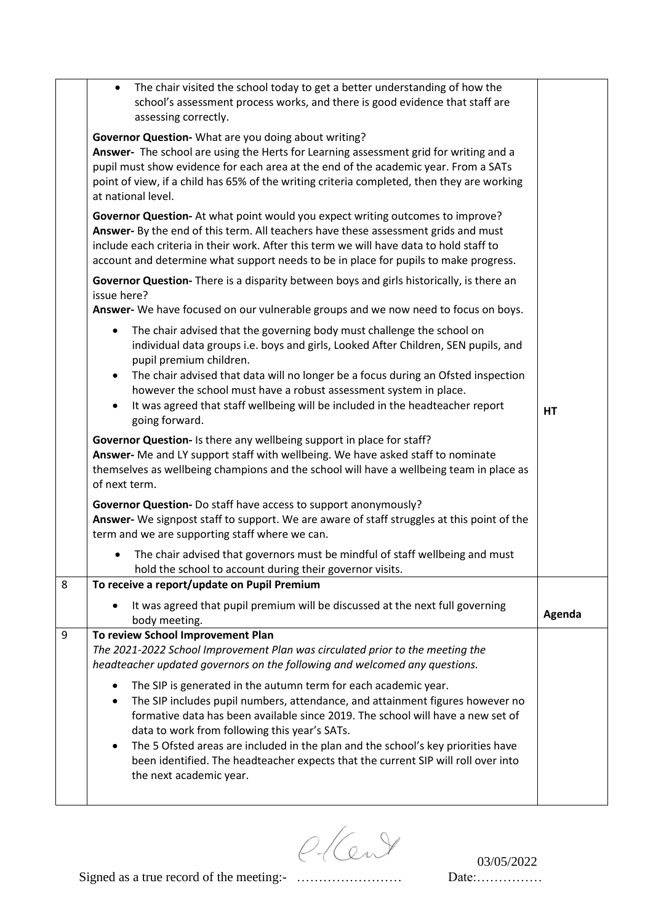|   | The chair visited the school today to get a better understanding of how the<br>$\bullet$<br>school's assessment process works, and there is good evidence that staff are<br>assessing correctly.                                                                                                                                                                                                                                                                                                                                |           |
|---|---------------------------------------------------------------------------------------------------------------------------------------------------------------------------------------------------------------------------------------------------------------------------------------------------------------------------------------------------------------------------------------------------------------------------------------------------------------------------------------------------------------------------------|-----------|
|   | Governor Question- What are you doing about writing?<br>Answer- The school are using the Herts for Learning assessment grid for writing and a<br>pupil must show evidence for each area at the end of the academic year. From a SATs<br>point of view, if a child has 65% of the writing criteria completed, then they are working<br>at national level.                                                                                                                                                                        |           |
|   | Governor Question- At what point would you expect writing outcomes to improve?<br>Answer- By the end of this term. All teachers have these assessment grids and must<br>include each criteria in their work. After this term we will have data to hold staff to<br>account and determine what support needs to be in place for pupils to make progress.                                                                                                                                                                         |           |
|   | Governor Question-There is a disparity between boys and girls historically, is there an<br>issue here?<br>Answer- We have focused on our vulnerable groups and we now need to focus on boys.                                                                                                                                                                                                                                                                                                                                    |           |
|   | The chair advised that the governing body must challenge the school on<br>$\bullet$<br>individual data groups i.e. boys and girls, Looked After Children, SEN pupils, and<br>pupil premium children.<br>The chair advised that data will no longer be a focus during an Ofsted inspection<br>$\bullet$                                                                                                                                                                                                                          |           |
|   | however the school must have a robust assessment system in place.<br>It was agreed that staff wellbeing will be included in the headteacher report<br>going forward.                                                                                                                                                                                                                                                                                                                                                            | <b>HT</b> |
|   | Governor Question- Is there any wellbeing support in place for staff?<br>Answer- Me and LY support staff with wellbeing. We have asked staff to nominate<br>themselves as wellbeing champions and the school will have a wellbeing team in place as<br>of next term.                                                                                                                                                                                                                                                            |           |
|   | Governor Question- Do staff have access to support anonymously?<br>Answer- We signpost staff to support. We are aware of staff struggles at this point of the<br>term and we are supporting staff where we can.                                                                                                                                                                                                                                                                                                                 |           |
|   | The chair advised that governors must be mindful of staff wellbeing and must<br>$\bullet$<br>hold the school to account during their governor visits.                                                                                                                                                                                                                                                                                                                                                                           |           |
| 8 | To receive a report/update on Pupil Premium                                                                                                                                                                                                                                                                                                                                                                                                                                                                                     |           |
|   | It was agreed that pupil premium will be discussed at the next full governing<br>body meeting.                                                                                                                                                                                                                                                                                                                                                                                                                                  | Agenda    |
| 9 | To review School Improvement Plan<br>The 2021-2022 School Improvement Plan was circulated prior to the meeting the<br>headteacher updated governors on the following and welcomed any questions.                                                                                                                                                                                                                                                                                                                                |           |
|   | The SIP is generated in the autumn term for each academic year.<br>$\bullet$<br>The SIP includes pupil numbers, attendance, and attainment figures however no<br>$\bullet$<br>formative data has been available since 2019. The school will have a new set of<br>data to work from following this year's SATs.<br>The 5 Ofsted areas are included in the plan and the school's key priorities have<br>$\bullet$<br>been identified. The headteacher expects that the current SIP will roll over into<br>the next academic year. |           |

 $O(C<sub>uv</sub>)$  03/05/2022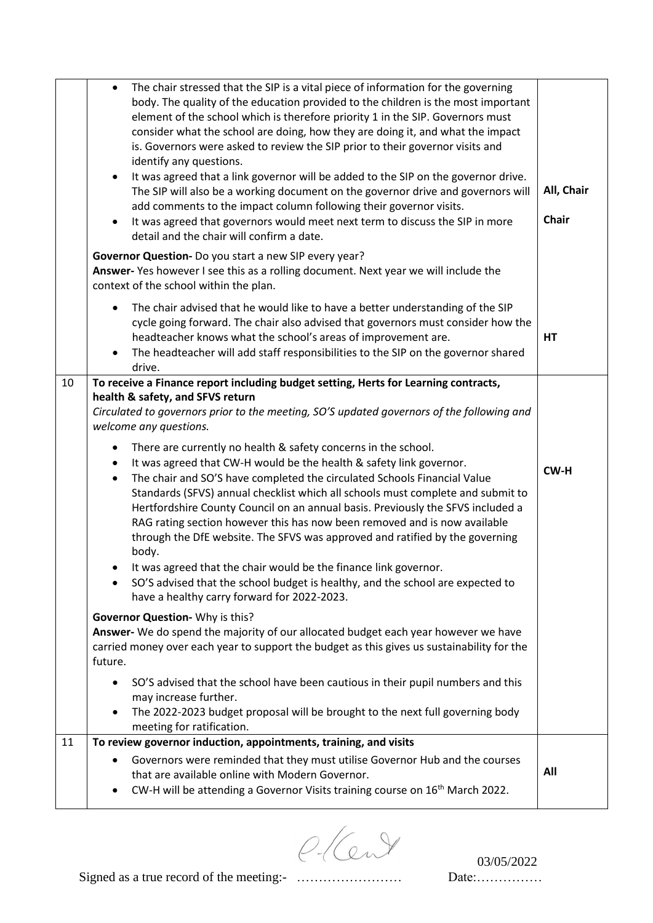|    | The chair stressed that the SIP is a vital piece of information for the governing<br>$\bullet$<br>body. The quality of the education provided to the children is the most important<br>element of the school which is therefore priority 1 in the SIP. Governors must<br>consider what the school are doing, how they are doing it, and what the impact<br>is. Governors were asked to review the SIP prior to their governor visits and<br>identify any questions.<br>It was agreed that a link governor will be added to the SIP on the governor drive.<br>$\bullet$<br>The SIP will also be a working document on the governor drive and governors will<br>add comments to the impact column following their governor visits.<br>It was agreed that governors would meet next term to discuss the SIP in more<br>$\bullet$<br>detail and the chair will confirm a date. | All, Chair<br><b>Chair</b> |
|----|----------------------------------------------------------------------------------------------------------------------------------------------------------------------------------------------------------------------------------------------------------------------------------------------------------------------------------------------------------------------------------------------------------------------------------------------------------------------------------------------------------------------------------------------------------------------------------------------------------------------------------------------------------------------------------------------------------------------------------------------------------------------------------------------------------------------------------------------------------------------------|----------------------------|
|    | Governor Question- Do you start a new SIP every year?<br>Answer-Yes however I see this as a rolling document. Next year we will include the<br>context of the school within the plan.                                                                                                                                                                                                                                                                                                                                                                                                                                                                                                                                                                                                                                                                                      |                            |
|    | The chair advised that he would like to have a better understanding of the SIP<br>$\bullet$<br>cycle going forward. The chair also advised that governors must consider how the<br>headteacher knows what the school's areas of improvement are.<br>The headteacher will add staff responsibilities to the SIP on the governor shared<br>$\bullet$<br>drive.                                                                                                                                                                                                                                                                                                                                                                                                                                                                                                               | <b>HT</b>                  |
| 10 | To receive a Finance report including budget setting, Herts for Learning contracts,<br>health & safety, and SFVS return<br>Circulated to governors prior to the meeting, SO'S updated governors of the following and<br>welcome any questions.                                                                                                                                                                                                                                                                                                                                                                                                                                                                                                                                                                                                                             |                            |
|    | There are currently no health & safety concerns in the school.<br>$\bullet$<br>It was agreed that CW-H would be the health & safety link governor.<br>$\bullet$<br>The chair and SO'S have completed the circulated Schools Financial Value<br>$\bullet$<br>Standards (SFVS) annual checklist which all schools must complete and submit to<br>Hertfordshire County Council on an annual basis. Previously the SFVS included a<br>RAG rating section however this has now been removed and is now available<br>through the DfE website. The SFVS was approved and ratified by the governing<br>body.<br>It was agreed that the chair would be the finance link governor.<br>SO'S advised that the school budget is healthy, and the school are expected to<br>have a healthy carry forward for 2022-2023.                                                                  | CW-H                       |
|    | Governor Question- Why is this?<br>Answer- We do spend the majority of our allocated budget each year however we have<br>carried money over each year to support the budget as this gives us sustainability for the<br>future.                                                                                                                                                                                                                                                                                                                                                                                                                                                                                                                                                                                                                                             |                            |
|    | SO'S advised that the school have been cautious in their pupil numbers and this<br>may increase further.<br>The 2022-2023 budget proposal will be brought to the next full governing body<br>$\bullet$<br>meeting for ratification.                                                                                                                                                                                                                                                                                                                                                                                                                                                                                                                                                                                                                                        |                            |
| 11 | To review governor induction, appointments, training, and visits<br>Governors were reminded that they must utilise Governor Hub and the courses<br>$\bullet$<br>that are available online with Modern Governor.<br>CW-H will be attending a Governor Visits training course on 16 <sup>th</sup> March 2022.<br>٠                                                                                                                                                                                                                                                                                                                                                                                                                                                                                                                                                           | All                        |

 $C(C<sub>uv</sub>)$  03/05/2022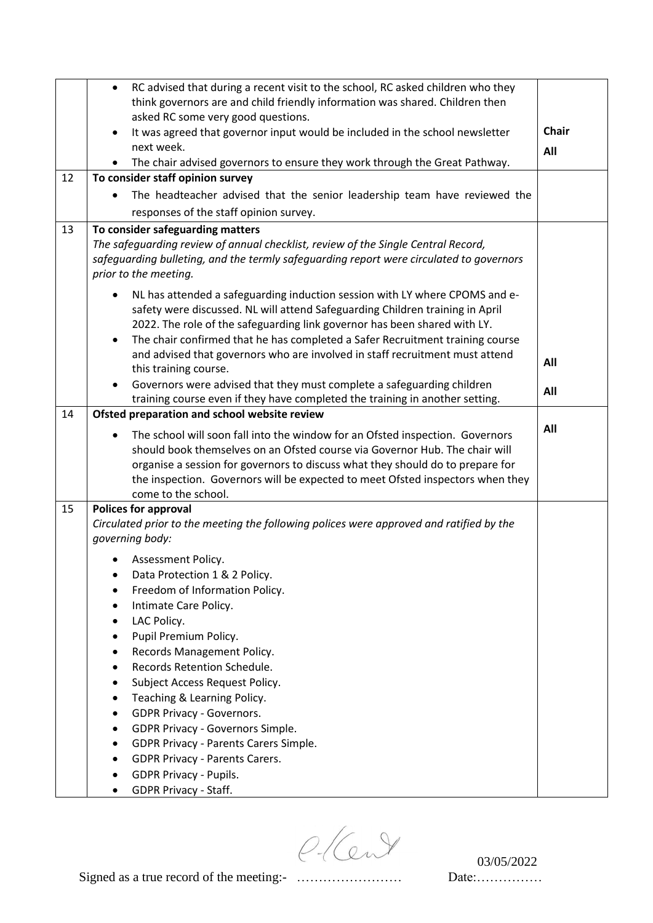|    | RC advised that during a recent visit to the school, RC asked children who they<br>$\bullet$                                                                              |              |
|----|---------------------------------------------------------------------------------------------------------------------------------------------------------------------------|--------------|
|    | think governors are and child friendly information was shared. Children then                                                                                              |              |
|    | asked RC some very good questions.<br>$\bullet$                                                                                                                           | <b>Chair</b> |
|    | It was agreed that governor input would be included in the school newsletter<br>next week.                                                                                |              |
|    | The chair advised governors to ensure they work through the Great Pathway.<br>$\bullet$                                                                                   | All          |
| 12 | To consider staff opinion survey                                                                                                                                          |              |
|    | The headteacher advised that the senior leadership team have reviewed the<br>$\bullet$                                                                                    |              |
|    | responses of the staff opinion survey.                                                                                                                                    |              |
| 13 | To consider safeguarding matters                                                                                                                                          |              |
|    | The safeguarding review of annual checklist, review of the Single Central Record,                                                                                         |              |
|    | safeguarding bulleting, and the termly safeguarding report were circulated to governors                                                                                   |              |
|    | prior to the meeting.                                                                                                                                                     |              |
|    | NL has attended a safeguarding induction session with LY where CPOMS and e-<br>$\bullet$                                                                                  |              |
|    | safety were discussed. NL will attend Safeguarding Children training in April                                                                                             |              |
|    | 2022. The role of the safeguarding link governor has been shared with LY.                                                                                                 |              |
|    | The chair confirmed that he has completed a Safer Recruitment training course<br>$\bullet$                                                                                |              |
|    | and advised that governors who are involved in staff recruitment must attend                                                                                              | All          |
|    | this training course.<br>Governors were advised that they must complete a safeguarding children                                                                           |              |
|    | $\bullet$<br>training course even if they have completed the training in another setting.                                                                                 | All          |
| 14 | Ofsted preparation and school website review                                                                                                                              |              |
|    |                                                                                                                                                                           | All          |
|    | The school will soon fall into the window for an Ofsted inspection. Governors<br>$\bullet$<br>should book themselves on an Ofsted course via Governor Hub. The chair will |              |
|    | organise a session for governors to discuss what they should do to prepare for                                                                                            |              |
|    | the inspection. Governors will be expected to meet Ofsted inspectors when they                                                                                            |              |
|    | come to the school.                                                                                                                                                       |              |
| 15 | <b>Polices for approval</b>                                                                                                                                               |              |
|    | Circulated prior to the meeting the following polices were approved and ratified by the                                                                                   |              |
|    | governing body:                                                                                                                                                           |              |
|    | Assessment Policy.                                                                                                                                                        |              |
|    | Data Protection 1 & 2 Policy.                                                                                                                                             |              |
|    | Freedom of Information Policy.                                                                                                                                            |              |
|    | Intimate Care Policy.                                                                                                                                                     |              |
|    | LAC Policy.<br>Pupil Premium Policy.                                                                                                                                      |              |
|    | Records Management Policy.                                                                                                                                                |              |
|    | Records Retention Schedule.                                                                                                                                               |              |
|    | Subject Access Request Policy.                                                                                                                                            |              |
|    | Teaching & Learning Policy.                                                                                                                                               |              |
|    | <b>GDPR Privacy - Governors.</b>                                                                                                                                          |              |
|    | GDPR Privacy - Governors Simple.                                                                                                                                          |              |
|    | GDPR Privacy - Parents Carers Simple.                                                                                                                                     |              |
|    | <b>GDPR Privacy - Parents Carers.</b>                                                                                                                                     |              |
|    | <b>GDPR Privacy - Pupils.</b>                                                                                                                                             |              |
|    | <b>GDPR Privacy - Staff.</b>                                                                                                                                              |              |

 $O(C<sub>uv</sub>)$  03/05/2022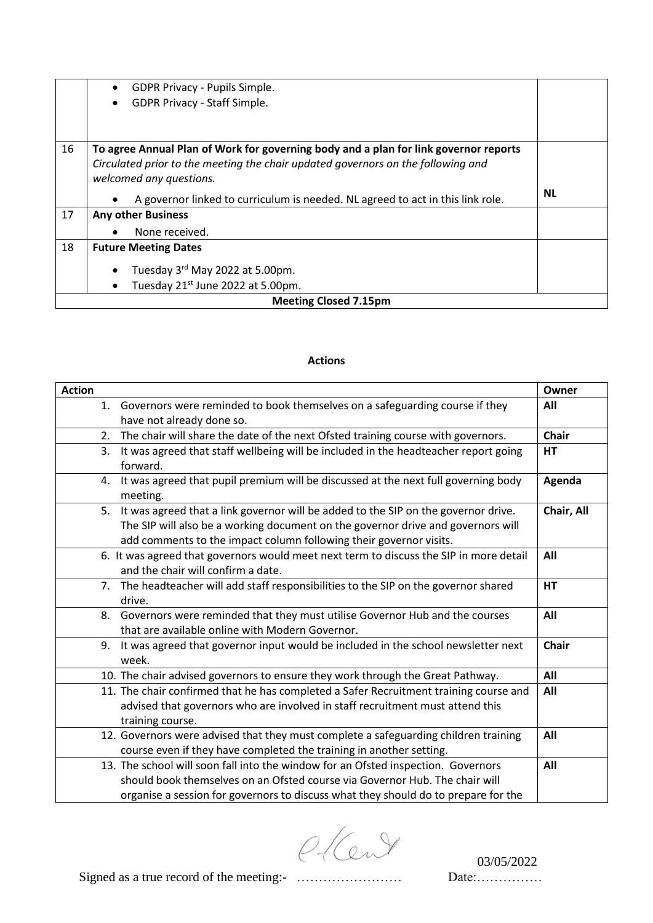|    | GDPR Privacy - Pupils Simple.<br>$\bullet$                                                  |           |  |
|----|---------------------------------------------------------------------------------------------|-----------|--|
|    | GDPR Privacy - Staff Simple.<br>$\bullet$                                                   |           |  |
|    |                                                                                             |           |  |
|    |                                                                                             |           |  |
| 16 | To agree Annual Plan of Work for governing body and a plan for link governor reports        |           |  |
|    | Circulated prior to the meeting the chair updated governors on the following and            |           |  |
|    | welcomed any questions.                                                                     |           |  |
|    | A governor linked to curriculum is needed. NL agreed to act in this link role.<br>$\bullet$ | <b>NL</b> |  |
| 17 | <b>Any other Business</b>                                                                   |           |  |
|    | None received.<br>$\bullet$                                                                 |           |  |
| 18 | <b>Future Meeting Dates</b>                                                                 |           |  |
|    | Tuesday 3rd May 2022 at 5.00pm.<br>$\bullet$                                                |           |  |
|    |                                                                                             |           |  |
|    | Tuesday 21 <sup>st</sup> June 2022 at 5.00pm.<br>٠                                          |           |  |
|    | <b>Meeting Closed 7.15pm</b>                                                                |           |  |

## **Actions**

| <b>Action</b> |                                                                                                   | Owner        |
|---------------|---------------------------------------------------------------------------------------------------|--------------|
|               | 1. Governors were reminded to book themselves on a safeguarding course if they                    | All          |
|               | have not already done so.                                                                         |              |
| 2.            | The chair will share the date of the next Ofsted training course with governors.                  | <b>Chair</b> |
| 3.            | It was agreed that staff wellbeing will be included in the headteacher report going<br>forward.   | HT           |
|               | 4. It was agreed that pupil premium will be discussed at the next full governing body<br>meeting. | Agenda       |
|               | 5. It was agreed that a link governor will be added to the SIP on the governor drive.             | Chair, All   |
|               | The SIP will also be a working document on the governor drive and governors will                  |              |
|               | add comments to the impact column following their governor visits.                                |              |
|               | 6. It was agreed that governors would meet next term to discuss the SIP in more detail            | All          |
|               | and the chair will confirm a date.                                                                |              |
|               | 7. The headteacher will add staff responsibilities to the SIP on the governor shared              | HT           |
|               | drive.                                                                                            |              |
|               | 8. Governors were reminded that they must utilise Governor Hub and the courses                    | All          |
|               | that are available online with Modern Governor.                                                   |              |
|               | 9. It was agreed that governor input would be included in the school newsletter next<br>week.     | <b>Chair</b> |
|               | 10. The chair advised governors to ensure they work through the Great Pathway.                    | All          |
|               | 11. The chair confirmed that he has completed a Safer Recruitment training course and             | All          |
|               | advised that governors who are involved in staff recruitment must attend this                     |              |
|               | training course.                                                                                  |              |
|               | 12. Governors were advised that they must complete a safeguarding children training               | All          |
|               | course even if they have completed the training in another setting.                               |              |
|               | 13. The school will soon fall into the window for an Ofsted inspection. Governors                 | All          |
|               | should book themselves on an Ofsted course via Governor Hub. The chair will                       |              |
|               | organise a session for governors to discuss what they should do to prepare for the                |              |

 $O(C<sub>uv</sub>)$  03/05/2022

Signed as a true record of the meeting:- …………………… Date:……………